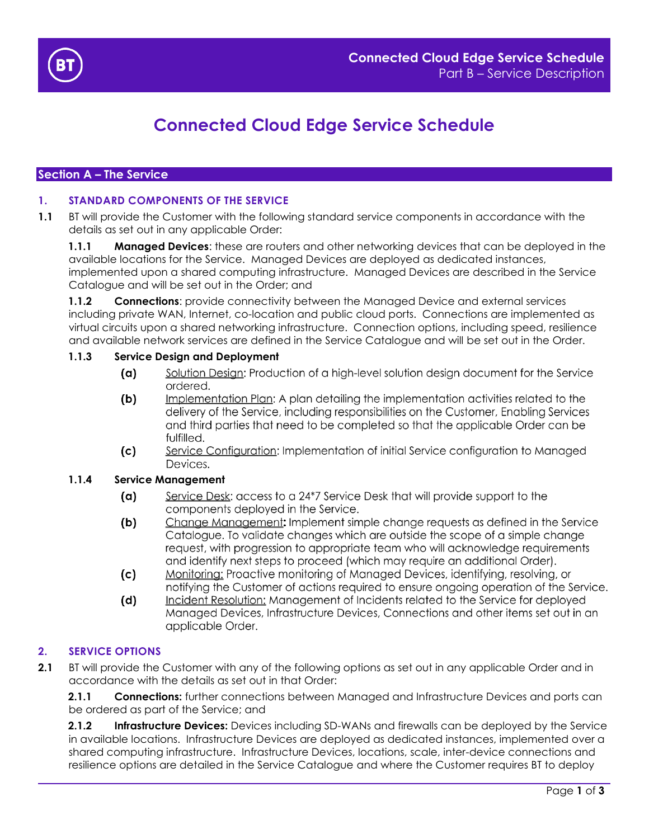

# **Connected Cloud Edge Service Schedule**

# **Section A – The Service**

## <span id="page-0-0"></span>**1. STANDARD COMPONENTS OF THE SERVICE**

**1.1** BT will provide the Customer with the following standard service components in accordance with the details as set out in any applicable Order:

**1.1.1 Managed Devices**: these are routers and other networking devices that can be deployed in the available locations for the Service. Managed Devices are deployed as dedicated instances, implemented upon a shared computing infrastructure. Managed Devices are described in the Service Catalogue and will be set out in the Order; and

**1.1.2 Connections:** provide connectivity between the Managed Device and external services including private WAN, Internet, co-location and public cloud ports. Connections are implemented as virtual circuits upon a shared networking infrastructure. Connection options, including speed, resilience and available network services are defined in the Service Catalogue and will be set out in the Order.

## **1.1.3 Service Design and Deployment**

- Solution Design: Production of a high-level solution design document for the Service  $(a)$ ordered.
- Implementation Plan: A plan detailing the implementation activities related to the  $(b)$ delivery of the Service, including responsibilities on the Customer, Enabling Services and third parties that need to be completed so that the applicable Order can be fulfilled.
- Service Configuration: Implementation of initial Service configuration to Managed  $(c)$ Devices.

## **1.1.4 Service Management**

- Service Desk: access to a 24\*7 Service Desk that will provide support to the  $(a)$ components deployed in the Service.
- Change Management: Implement simple change requests as defined in the Service  $(b)$ Catalogue. To validate changes which are outside the scope of a simple change request, with progression to appropriate team who will acknowledge requirements and identify next steps to proceed (which may require an additional Order).
- $(c)$ Monitoring: Proactive monitoring of Managed Devices, identifying, resolving, or notifying the Customer of actions required to ensure ongoing operation of the Service.
- $(d)$ Incident Resolution: Management of Incidents related to the Service for deployed Managed Devices, Infrastructure Devices, Connections and other items set out in an applicable Order.

## <span id="page-0-1"></span>**2. SERVICE OPTIONS**

**2.1** BT will provide the Customer with any of the following options as set out in any applicable Order and in accordance with the details as set out in that Order:

**2.1.1 Connections:** further connections between Managed and Infrastructure Devices and ports can be ordered as part of the Service; and

**2.1.2 Infrastructure Devices:** Devices including SD-WANs and firewalls can be deployed by the Service in available locations. Infrastructure Devices are deployed as dedicated instances, implemented over a shared computing infrastructure. Infrastructure Devices, locations, scale, inter-device connections and resilience options are detailed in the Service Catalogue and where the Customer requires BT to deploy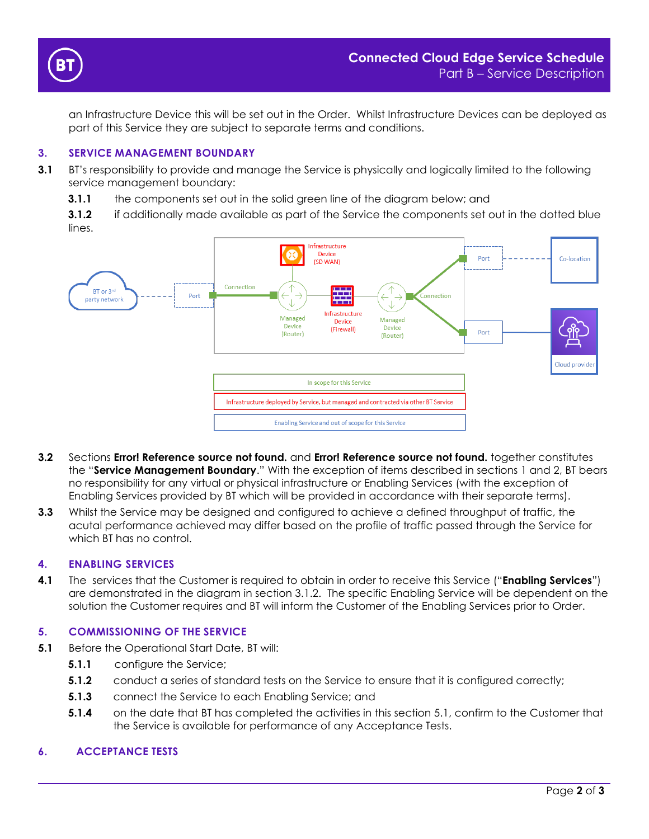

an Infrastructure Device this will be set out in the Order. Whilst Infrastructure Devices can be deployed as part of this Service they are subject to separate terms and conditions.

## **3. SERVICE MANAGEMENT BOUNDARY**

- **3.1** BT's responsibility to provide and manage the Service is physically and logically limited to the following service management boundary:
	- **3.1.1** the components set out in the solid green line of the diagram below; and

<span id="page-1-0"></span>**3.1.2** if additionally made available as part of the Service the components set out in the dotted blue lines.



- **3.2** Sections **Error! Reference source not found.** and **Error! Reference source not found.** together constitutes the "**Service Management Boundary**." With the exception of items described in sections [1](#page-0-0) and [2,](#page-0-1) BT bears no responsibility for any virtual or physical infrastructure or Enabling Services (with the exception of Enabling Services provided by BT which will be provided in accordance with their separate terms).
- **3.3** Whilst the Service may be designed and configured to achieve a defined throughput of traffic, the acutal performance achieved may differ based on the profile of traffic passed through the Service for which BT has no control.

## **4. ENABLING SERVICES**

**4.1** The services that the Customer is required to obtain in order to receive this Service ("**Enabling Services**") are demonstrated in the diagram in section [3.1.2.](#page-1-0) The specific Enabling Service will be dependent on the solution the Customer requires and BT will inform the Customer of the Enabling Services prior to Order.

## **5. COMMISSIONING OF THE SERVICE**

- <span id="page-1-1"></span>**5.1** Before the Operational Start Date, BT will:
	- **5.1.1** configure the Service;
	- **5.1.2** conduct a series of standard tests on the Service to ensure that it is configured correctly;
	- **5.1.3** connect the Service to each Enabling Service; and
	- **5.1.4** on the date that BT has completed the activities in this section [5.1,](#page-1-1) confirm to the Customer that the Service is available for performance of any Acceptance Tests.

# **6. ACCEPTANCE TESTS**